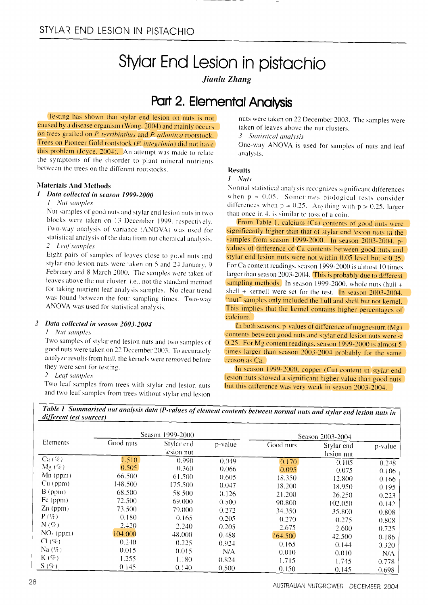# Stylar End Lesion in pistachio

Jianlu Zhang

### Part 2. Elemental Analysis

Testing has shown that stylar end lesion on nuts is not caused by a disease organism (Wong, 2004) and mainly occurs on trees grafted on P. terribinthus and P. atlantica rootstock. Trees on Pioneer Gold rootstock (P. integrimia) did not have this problem (Joyce, 2004). An attempt was made to relate the symptoms of the disorder to plant mineral nutrients between the trees on the different rootstocks.

#### **Materials And Methods**

1 Data collected in season 1999-2000

#### 1 Nut samples

Nut samples of good nuts and stylar end lesion nuts in two blocks were taken on 13 December 1999, respectively. Two-way analysis of variance (ANOVA) was used for statistical analysis of the data from nut chemical analysis. 2 Leaf samples

Eight pairs of samples of leaves close to good nuts and stylar end lesion nuts were taken on 5 and 24 January, 9 February and 8 March 2000. The samples were taken of leaves above the nut cluster, i.e., not the standard method for taking nutrient leaf analysis samples. No clear trend was found between the four sampling times. Two-way ANOVA was used for statistical analysis.

#### 2 Data collected in season 2003-2004

I Nut samples

Two samples of stylar end lesion nuts and two samples of good nuts were taken on 22 December 2003. To accurately analyze results from hull, the kernels were removed before they were sent for testing.

#### 2 Leaf samples

Two leaf samples from trees with stylar end lesion nuts and two leaf samples from trees without stylar end lesion

nuts were taken on 22 December 2003. The samples were taken of leaves above the nut clusters.

3 Statistical analysis

One-way ANOVA is used for samples of nuts and leaf analysis.

### **Results**

#### 1 Nuts

Normal statistical analysis recognizes significant differences when  $p = 0.05$ . Sometimes biological tests consider differences when  $p = 0.25$ . Anything with  $p > 0.25$ , larger than once in 4, is similar to toss of a coin.

From Table 1, calcium (Ca) contents of good nuts were significantly higher than that of stylar end lesion nuts in the samples from season 1999-2000. In season 2003-2004, pvalues of difference of Ca contents between good nuts and stylar end lesion nuts were not within  $0.05$  level but < 0.25. For Ca content readings, season 1999-2000 is almost 10 times larger than season 2003-2004. This is probably due to different sampling methods. In season 1999-2000, whole nuts (hull  $+$ shell + kernel) were set for the test. In season  $2003-2004$ , "nut" samples only included the hull and shell but not kernel. This implies that the kernel contains higher percentages of calcium.

In both seasons, p-values of difference of magnesium  $(Mg)$ contents between good nuts and stylar end lesion nuts were < 0.25. For Mg content readings, season 1999-2000 is almost 5 times larger than season 2003-2004 probably for the same reason as Ca.

In season 1999-2000, copper (Cu) content in stylar end lesion nuts showed a significant higher value than good nuts but this difference was very weak in season 2003-2004.

Table 1 Summarised nut analysis data (P-values of element contents between normal nuts and stylar end lesion nuts in different test sources)

| Elements          | Season 1999-2000 |                          |         | Season 2003-2004 |                          |         |
|-------------------|------------------|--------------------------|---------|------------------|--------------------------|---------|
|                   | Good nuts        | Stylar end<br>lesion nut | p-value | Good nuts        | Stylar end<br>lesion nut | p-value |
| $Ca(\%)$          | 1.510            | 0.990                    | 0.049   | 0.170            | 0.105                    | 0.248   |
| $Mg(\%)$          | 0.505            | 0.360                    | 0.066   | 0.095            | 0.075                    | 0.106   |
| $Mn$ (ppm)        | 66.500           | 61.500                   | 0.605   | 18.350           | 12.800                   | 0.166   |
| Cu (ppm)          | 148.500          | 175.500                  | 0.047   | 18.200           | 18.950                   | 0.195   |
| $B$ (ppm)         | 68.500           | 58.500                   | 0.126   | 21.200           | 26.250                   | 0.223   |
| Fe (ppm)          | 72.500           | 69.000                   | 0.500   | 90.800           | 102.050                  | 0.142   |
| $Zn$ (ppm)        | 73.500           | 79,000                   | 0.272   | 34.350           | 35.800                   | 0.808   |
| $P(\%)$           | 0.180            | 0.165                    | 0.205   | 0.270            | 0.275                    | 0.808   |
| $N(\%)$           | 2.420            | 2.240                    | 0.205   | 2.675            | 2.600                    | 0.725   |
| $NO_3$ (ppm)      | 104.000          | 48.000                   | 0.488   | 164.500          | 42.500                   | 0.186   |
| $Cl(\mathcal{K})$ | 0.240            | 0.225                    | 0.924   | 0.165            | 0.144                    | 0.320   |
| Na $(\%)$         | 0.015            | 0.015                    | N/A     | 0.010            | 0.010                    | N/A     |
| $K(\%)$           | 1.255            | 1.180                    | 0.824   | 1.715            | 1.745                    | 0.778   |
| $S($ %)           | 0.145            | 0.140                    | 0.500   | 0.150            | 0.145                    | 0.698   |